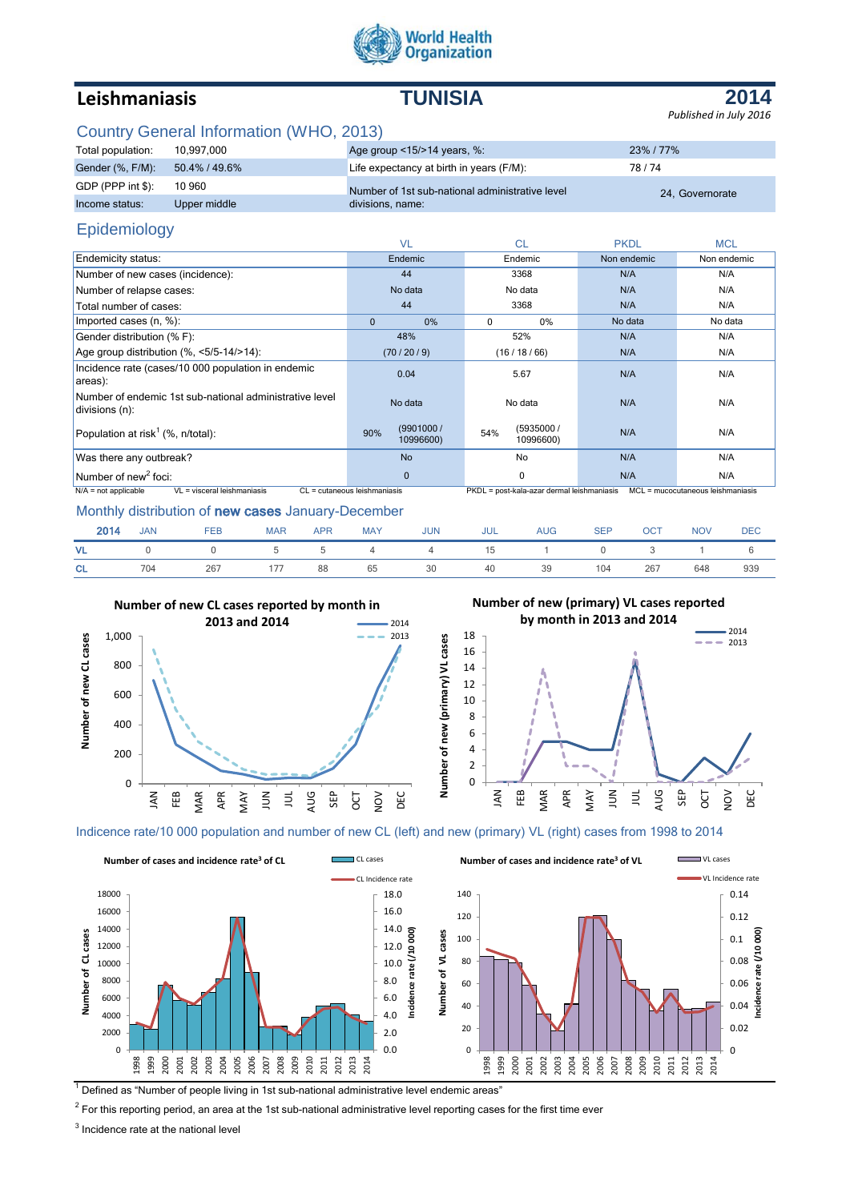

# **Leishmaniasis TUNISIA**

**2014** *Published in July 2016*

## Country General Information (WHO, 2013)

| Total population: | 10.997.000    | Age group <15/>>14 years, %:                    | 23% / 77%       |
|-------------------|---------------|-------------------------------------------------|-----------------|
| Gender (%, F/M):  | 50.4% / 49.6% | Life expectancy at birth in years (F/M):        | 78/74           |
| GDP (PPP int \$): | 10 960        | Number of 1st sub-national administrative level | 24. Governorate |
| Income status:    | Upper middle  | divisions, name:                                |                 |

## Epidemiology

|                                                                           | <b>VL</b>                     | <b>CL</b>                                  | <b>PKDL</b> | <b>MCL</b>                          |
|---------------------------------------------------------------------------|-------------------------------|--------------------------------------------|-------------|-------------------------------------|
| <b>Endemicity status:</b>                                                 | Endemic                       | Endemic                                    | Non endemic | Non endemic                         |
| Number of new cases (incidence):                                          | 44                            | 3368                                       | N/A         | N/A                                 |
| Number of relapse cases:                                                  | No data                       | No data                                    | N/A         | N/A                                 |
| Total number of cases:                                                    | 44                            | 3368                                       | N/A         | N/A                                 |
| Imported cases (n, %):                                                    | $\mathbf{0}$<br>0%            | $\mathbf 0$<br>$0\%$                       | No data     | No data                             |
| Gender distribution (% F):                                                | 48%                           | 52%                                        | N/A         | N/A                                 |
| Age group distribution $(\% \, <5/5-14/>14)$ :                            | (70/20/9)                     | (16/18/66)                                 | N/A         | N/A                                 |
| Incidence rate (cases/10 000 population in endemic<br>areas):             | 0.04                          | 5.67                                       | N/A         | N/A                                 |
| Number of endemic 1st sub-national administrative level<br>divisions (n): | No data                       | No data                                    | N/A         | N/A                                 |
| Population at risk <sup>1</sup> (%, n/total):                             | (9901000/<br>90%<br>10996600) | (5935000 /<br>54%<br>10996600)             | N/A         | N/A                                 |
| Was there any outbreak?                                                   | <b>No</b>                     | No                                         | N/A         | N/A                                 |
| Number of new <sup>2</sup> foci:                                          | $\Omega$                      | $\mathbf 0$                                | N/A         | N/A                                 |
| VL = visceral leishmaniasis<br>$N/A$ = not applicable                     | CL = cutaneous leishmaniasis  | PKDL = post-kala-azar dermal leishmaniasis |             | $MCL = mucocutaneous leishmaniasis$ |

### Monthly distribution of new cases January-December

| 2014      | <b>JAN</b> | <b>FEB</b> | <b>MAR</b> | <b>APR</b> | <b>MAY</b> | <b>JUN</b> | <b>JUL</b> | <b>AUG</b> | <b>SEP</b> | <b>OCT</b> | <b>NOV</b> | <b>DEC</b> |
|-----------|------------|------------|------------|------------|------------|------------|------------|------------|------------|------------|------------|------------|
| <b>VL</b> |            | $\sim$ 0   | 5          |            | $5\quad 4$ | 4 15 1 0   |            |            |            |            |            |            |
| <b>CL</b> | 704        | 267        | 177        | 88         | 65         | 30         | 40         | 39         | 104        | 267        | 648        | 939        |

**Number of new (primary) VL cases**

Number of new (primary) VL cases



**Number of new (primary) VL cases reported** 



Indicence rate/10 000 population and number of new CL (left) and new (primary) VL (right) cases from 1998 to 2014



 $<sup>1</sup>$  Defined as "Number of people living in 1st sub-national administrative level endemic areas"</sup>

 $^2$  For this reporting period, an area at the 1st sub-national administrative level reporting cases for the first time ever

 $3$  Incidence rate at the national level